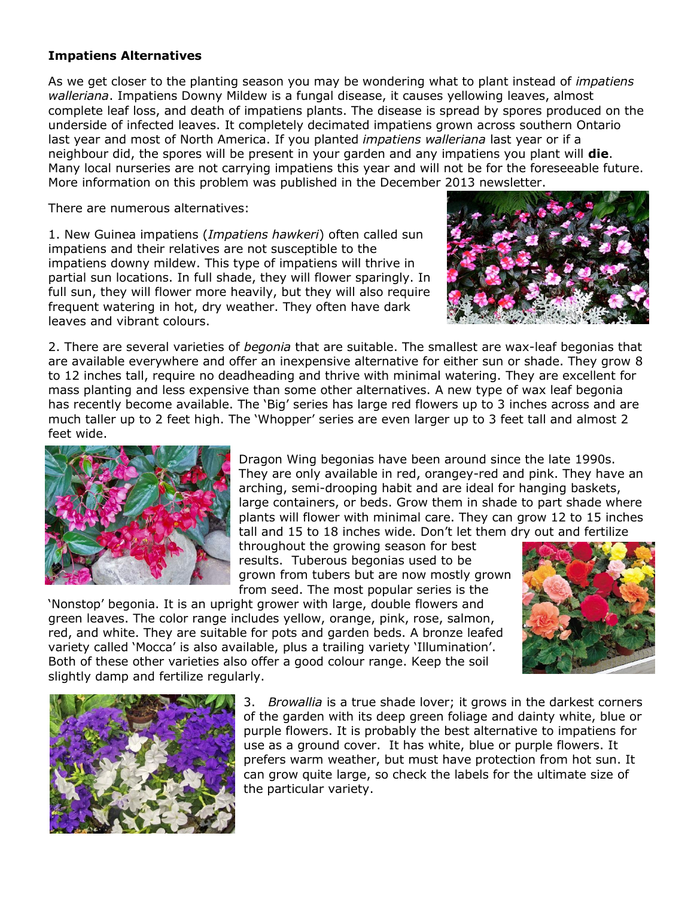## **Impatiens Alternatives**

As we get closer to the planting season you may be wondering what to plant instead of *impatiens walleriana*. Impatiens Downy Mildew is a fungal disease, it causes yellowing leaves, almost complete leaf loss, and death of impatiens plants. The disease is spread by spores produced on the underside of infected leaves. It completely decimated impatiens grown across southern Ontario last year and most of North America. If you planted *impatiens walleriana* last year or if a neighbour did, the spores will be present in your garden and any impatiens you plant will **die**. Many local nurseries are not carrying impatiens this year and will not be for the foreseeable future. More information on this problem was published in the December 2013 newsletter.

There are numerous alternatives:

1. New Guinea impatiens (*Impatiens hawkeri*) often called sun impatiens and their relatives are not susceptible to the impatiens downy mildew. This type of impatiens will thrive in partial sun locations. In full shade, they will flower sparingly. In full sun, they will flower more heavily, but they will also require frequent watering in hot, dry weather. They often have dark leaves and vibrant colours.



2. There are several varieties of *begonia* that are suitable. The smallest are wax-leaf begonias that are available everywhere and offer an inexpensive alternative for either sun or shade. They grow 8 to 12 inches tall, require no deadheading and thrive with minimal watering. They are excellent for mass planting and less expensive than some other alternatives. A new type of wax leaf begonia has recently become available. The 'Big' series has large red flowers up to 3 inches across and are much taller up to 2 feet high. The 'Whopper' series are even larger up to 3 feet tall and almost 2 feet wide.



Dragon Wing begonias have been around since the late 1990s. They are only available in red, orangey-red and pink. They have an arching, semi-drooping habit and are ideal for hanging baskets, large containers, or beds. Grow them in shade to part shade where plants will flower with minimal care. They can grow 12 to 15 inches

tall and 15 to 18 inches wide. Don't let them dry out and fertilize throughout the growing season for best results. Tuberous begonias used to be grown from tubers but are now mostly grown from seed. The most popular series is the

'Nonstop' begonia. It is an upright grower with large, double flowers and green leaves. The color range includes yellow, orange, pink, rose, salmon, red, and white. They are suitable for pots and garden beds. A bronze leafed variety called 'Mocca' is also available, plus a trailing variety 'Illumination'. Both of these other varieties also offer a good colour range. Keep the soil slightly damp and fertilize regularly.





3. *Browallia* is a true shade lover; it grows in the darkest corners of the garden with its deep green foliage and dainty white, blue or purple flowers. It is probably the best alternative to impatiens for use as a ground cover. It has white, blue or purple flowers. It prefers warm weather, but must have protection from hot sun. It can grow quite large, so check the labels for the ultimate size of the particular variety.